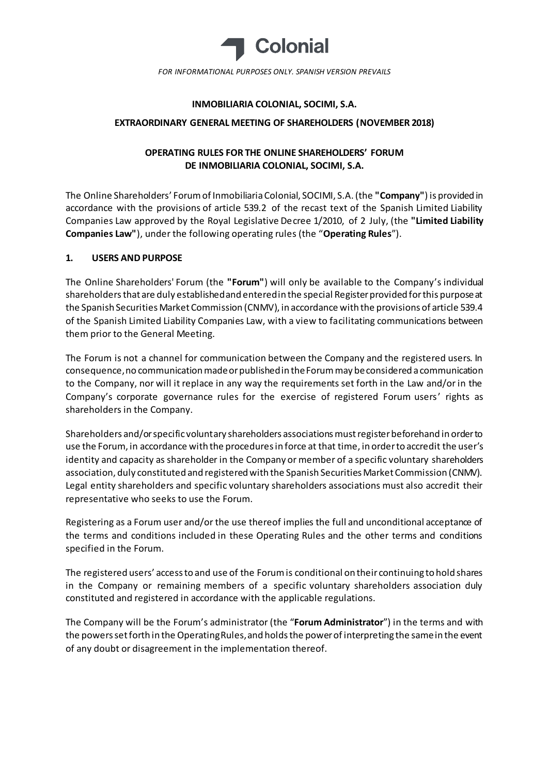

*FOR INFORMATIONAL PURPOSES ONLY. SPANISH VERSION PREVAILS*

### **INMOBILIARIA COLONIAL, SOCIMI, S.A.**

#### **EXTRAORDINARY GENERAL MEETING OF SHAREHOLDERS (NOVEMBER 2018)**

# **OPERATING RULES FOR THE ONLINE SHAREHOLDERS' FORUM DE INMOBILIARIA COLONIAL, SOCIMI, S.A.**

The Online Shareholders' Forum of Inmobiliaria Colonial, SOCIMI, S.A. (the **"Company"**) is provided in accordance with the provisions of article 539.2 of the recast text of the Spanish Limited Liability Companies Law approved by the Royal Legislative Decree 1/2010, of 2 July, (the **"Limited Liability Companies Law"**), under the following operating rules (the "**Operating Rules**").

## **1. USERS AND PURPOSE**

The Online Shareholders' Forum (the **"Forum"**) will only be available to the Company's individual shareholders that are duly established and entered in the special Register provided for this purpose at the Spanish Securities Market Commission (CNMV), in accordance with the provisions of article 539.4 of the Spanish Limited Liability Companies Law, with a view to facilitating communications between them prior to the General Meeting.

The Forum is not a channel for communication between the Company and the registered users. In consequence, no communication made or published in the Forum may be considered a communication to the Company, nor will it replace in any way the requirements set forth in the Law and/or in the Company's corporate governance rules for the exercise of registered Forum users' rights as shareholders in the Company.

Shareholders and/or specific voluntary shareholders associations must register beforehand in order to use the Forum, in accordance with the procedures in force at that time, in order to accredit the user's identity and capacity as shareholder in the Company or member of a specific voluntary shareholders association, duly constituted and registered with the Spanish Securities Market Commission (CNMV). Legal entity shareholders and specific voluntary shareholders associations must also accredit their representative who seeks to use the Forum.

Registering as a Forum user and/or the use thereof implies the full and unconditional acceptance of the terms and conditions included in these Operating Rules and the other terms and conditions specified in the Forum.

The registered users' access to and use of the Forum is conditional on their continuing to hold shares in the Company or remaining members of a specific voluntary shareholders association duly constituted and registered in accordance with the applicable regulations.

The Company will be the Forum's administrator (the "**Forum Administrator**") in the terms and with the powers set forth in the Operating Rules, and holds the power of interpreting the same in the event of any doubt or disagreement in the implementation thereof.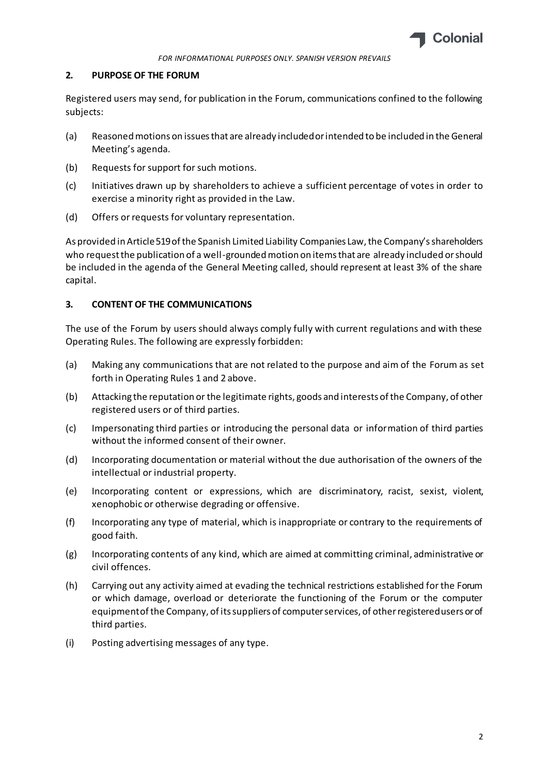

#### **2. PURPOSE OF THE FORUM**

Registered users may send, for publication in the Forum, communications confined to the following subjects:

- (a) Reasoned motions on issues that are already included or intended to be included in the General Meeting's agenda.
- (b) Requests for support for such motions.
- (c) Initiatives drawn up by shareholders to achieve a sufficient percentage of votes in order to exercise a minority right as provided in the Law.
- (d) Offers or requests for voluntary representation.

As provided in Article 519 of the Spanish Limited Liability Companies Law, the Company's shareholders who request the publication of a well-grounded motion on items that are already included or should be included in the agenda of the General Meeting called, should represent at least 3% of the share capital.

## **3. CONTENT OF THE COMMUNICATIONS**

The use of the Forum by users should always comply fully with current regulations and with these Operating Rules. The following are expressly forbidden:

- (a) Making any communications that are not related to the purpose and aim of the Forum as set forth in Operating Rules 1 and 2 above.
- (b) Attacking the reputation or the legitimate rights, goods and interests of the Company, of other registered users or of third parties.
- (c) Impersonating third parties or introducing the personal data or information of third parties without the informed consent of their owner.
- (d) Incorporating documentation or material without the due authorisation of the owners of the intellectual or industrial property.
- (e) Incorporating content or expressions, which are discriminatory, racist, sexist, violent, xenophobic or otherwise degrading or offensive.
- (f) Incorporating any type of material, which is inappropriate or contrary to the requirements of good faith.
- (g) Incorporating contents of any kind, which are aimed at committing criminal, administrative or civil offences.
- (h) Carrying out any activity aimed at evading the technical restrictions established for the Forum or which damage, overload or deteriorate the functioning of the Forum or the computer equipment of the Company, of its suppliers of computer services, of other registered users or of third parties.
- (i) Posting advertising messages of any type.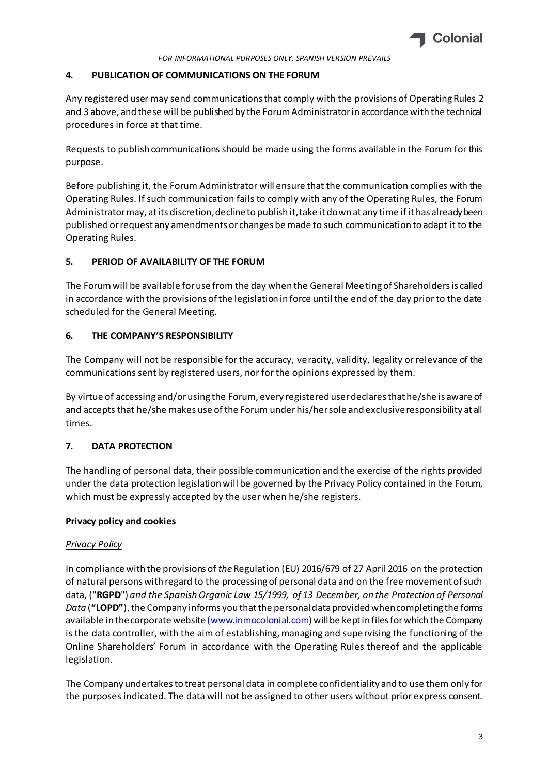

### **4. PUBLICATION OF COMMUNICATIONS ON THE FORUM**

Any registered user may send communications that comply with the provisions of Operating Rules 2 and 3 above, and these will be published by the Forum Administrator in accordance with the technical procedures in force at that time.

Requests to publish communications should be made using the forms available in the Forum for this purpose.

Before publishing it, the Forum Administrator will ensure that the communication complies with the Operating Rules. If such communication fails to comply with any of the Operating Rules, the Forum Administrator may, at its discretion, decline to publish it, take it down at any time if it has already been published or request any amendments or changes be made to such communication to adapt it to the Operating Rules.

## **5. PERIOD OF AVAILABILITY OF THE FORUM**

The Forum will be available for use from the day when the General Meeting of Shareholders is called in accordance with the provisions of the legislation in force until the end of the day prior to the date scheduled for the General Meeting.

## **6. THE COMPANY'S RESPONSIBILITY**

The Company will not be responsible for the accuracy, veracity, validity, legality or relevance of the communications sent by registered users, nor for the opinions expressed by them.

By virtue of accessing and/or using the Forum, every registered user declares that he/she is aware of and accepts that he/she makes use of the Forum under his/her sole and exclusive responsibility at all times.

## **7. DATA PROTECTION**

The handling of personal data, their possible communication and the exercise of the rights provided under the data protection legislation will be governed by the Privacy Policy contained in the Forum, which must be expressly accepted by the user when he/she registers.

### **Privacy policy and cookies**

### *Privacy Policy*

In compliance with the provisions of *the* Regulation (EU) 2016/679 of 27 April 2016 on the protection of natural persons with regard to the processing of personal data and on the free movement of such data, ("**RGPD**") *and the Spanish Organic Law 15/1999, of 13 December, on the Protection of Personal Data* (**"LOPD"**), the Company informs you that the personal data provided when completing the forms available in the corporate websit[e \(www.inmocolonial.com](http://www.inmocolonial.com/)) will be kept in files for which the Company is the data controller, with the aim of establishing, managing and supervising the functioning of the Online Shareholders' Forum in accordance with the Operating Rules thereof and the applicable legislation.

The Company undertakes to treat personal data in complete confidentiality and to use them only for the purposes indicated. The data will not be assigned to other users without prior express consent.